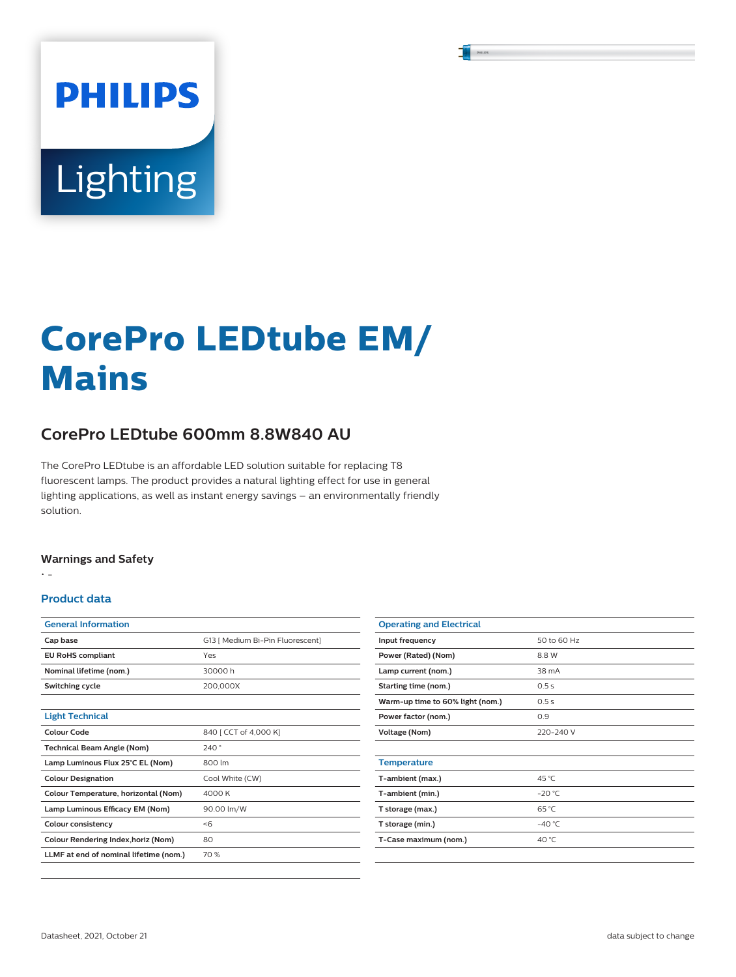# **PHILIPS** Lighting

## **CorePro LEDtube EM/ Mains**

### **CorePro LEDtube 600mm 8.8W840 AU**

The CorePro LEDtube is an affordable LED solution suitable for replacing T8 fluorescent lamps. The product provides a natural lighting effect for use in general lighting applications, as well as instant energy savings – an environmentally friendly solution.

### **Warnings and Safety**

• -

### **Product data**

| <b>General Information</b>             |                                  |
|----------------------------------------|----------------------------------|
| Cap base                               | G13 [ Medium Bi-Pin Fluorescent] |
| <b>EU RoHS compliant</b>               | Yes                              |
| Nominal lifetime (nom.)                | 30000 h                          |
| Switching cycle                        | 200,000X                         |
|                                        |                                  |
| <b>Light Technical</b>                 |                                  |
| Colour Code                            | 840 [ CCT of 4,000 K]            |
| <b>Technical Beam Angle (Nom)</b>      | 240°                             |
| Lamp Luminous Flux 25°C EL (Nom)       | 800 lm                           |
| <b>Colour Designation</b>              | Cool White (CW)                  |
| Colour Temperature, horizontal (Nom)   | 4000 K                           |
| Lamp Luminous Efficacy EM (Nom)        | 90.00 lm/W                       |
| Colour consistency                     | < 6                              |
| Colour Rendering Index, horiz (Nom)    | 80                               |
| LLMF at end of nominal lifetime (nom.) | 70 %                             |
|                                        |                                  |

| <b>Operating and Electrical</b>  |                 |
|----------------------------------|-----------------|
| Input frequency                  | 50 to 60 Hz     |
| Power (Rated) (Nom)              | 8.8W            |
| Lamp current (nom.)              | 38 mA           |
| Starting time (nom.)             | 0.5s            |
| Warm-up time to 60% light (nom.) | 0.5s            |
| Power factor (nom.)              | 0.9             |
| Voltage (Nom)                    | 220-240 V       |
|                                  |                 |
| <b>Temperature</b>               |                 |
| T-ambient (max.)                 | 45 °C           |
| T-ambient (min.)                 | $-20 °C$        |
| T storage (max.)                 | 65 °C           |
| T storage (min.)                 | $-40^{\circ}$ C |
| T-Case maximum (nom.)            | 40 °C           |
|                                  |                 |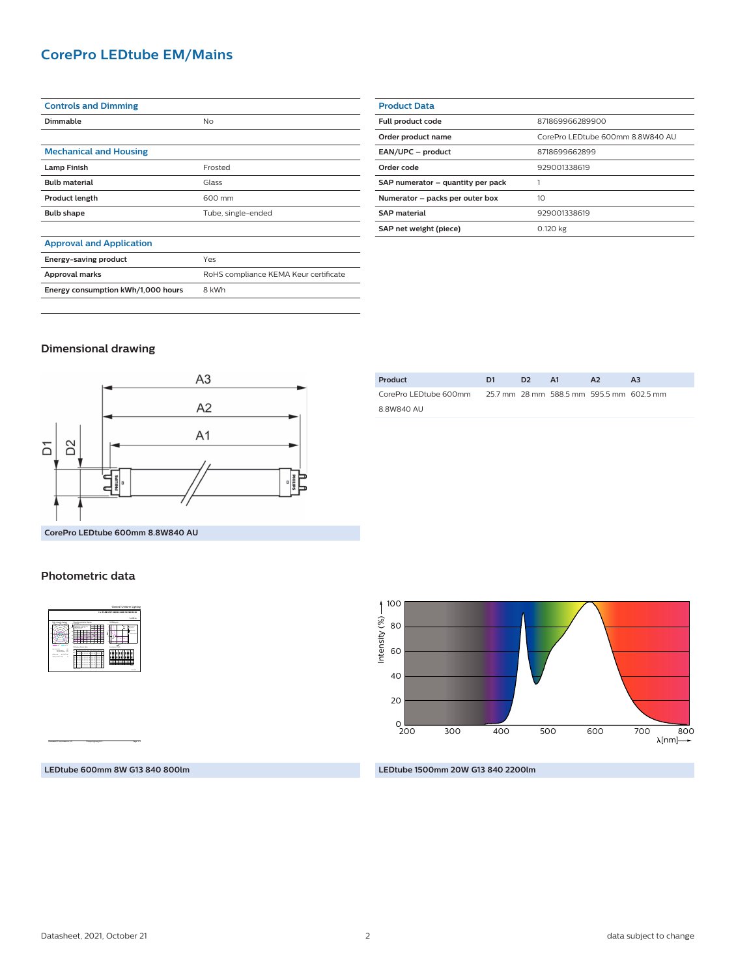### **CorePro LEDtube EM/Mains**

| <b>Controls and Dimming</b>        |                                       |
|------------------------------------|---------------------------------------|
| Dimmable                           | No                                    |
|                                    |                                       |
| <b>Mechanical and Housing</b>      |                                       |
| <b>Lamp Finish</b>                 | Frosted                               |
| <b>Bulb material</b>               | Glass                                 |
| <b>Product length</b>              | 600 mm                                |
| <b>Bulb shape</b>                  | Tube, single-ended                    |
|                                    |                                       |
| <b>Approval and Application</b>    |                                       |
| Energy-saving product              | Yes                                   |
| Approval marks                     | RoHS compliance KEMA Keur certificate |
| Energy consumption kWh/1,000 hours | 8 kWh                                 |

| <b>Product Data</b>               |                                  |
|-----------------------------------|----------------------------------|
| Full product code                 | 871869966289900                  |
| Order product name                | CorePro LEDtube 600mm 8.8W840 AU |
| EAN/UPC - product                 | 8718699662899                    |
| Order code                        | 929001338619                     |
| SAP numerator - quantity per pack |                                  |
| Numerator - packs per outer box   | 10                               |
| <b>SAP</b> material               | 929001338619                     |
| SAP net weight (piece)            | 0.120 kg                         |

### **Dimensional drawing**



| Product               | D1 | D <sub>2</sub> | - A1                                     | A <sub>2</sub> | A <sub>3</sub> |
|-----------------------|----|----------------|------------------------------------------|----------------|----------------|
| CorePro LEDtube 600mm |    |                | 25.7 mm 28 mm 588.5 mm 595.5 mm 602.5 mm |                |                |
| 8.8W840 AU            |    |                |                                          |                |                |

**Photometric data**

| <b>Land and Art Ave</b><br>-<br>$-1$<br>$-25.18.18$<br>----<br>----<br><b>STATE</b><br><b>University Service Mile</b>                                                                                                                                                                                                                                                                  | 1 x 800 km<br><b>UGLAyer</b><br>$\overline{\phantom{a}}$<br><b>A CARDS</b><br>$\sim$<br><br>Ξ<br>≖<br>- |
|----------------------------------------------------------------------------------------------------------------------------------------------------------------------------------------------------------------------------------------------------------------------------------------------------------------------------------------------------------------------------------------|---------------------------------------------------------------------------------------------------------|
|                                                                                                                                                                                                                                                                                                                                                                                        |                                                                                                         |
|                                                                                                                                                                                                                                                                                                                                                                                        | <b>Luningra Tata</b>                                                                                    |
| ----<br>$-$<br><b>Service In</b><br><b>SALE</b><br>. .<br><br><b>Change Agent</b><br>==<br>===<br>==<br>==<br>٠<br><b>Charles Carl Link</b><br>٠<br>$-2$<br>a a<br><br>$\sim$<br>i<br>ᄄ<br>88388888<br>Ξ<br>==<br>Ξ<br>.,<br>==<br>Ξ<br>.,<br>٠<br>۰<br>$\sim$<br>۰<br>---------<br>==<br>c<br>⋍<br>---------<br>с<br>22<br>۰<br>. .<br>- -<br>335838<br>i<br>≕<br>ココ<br>Ξ<br>==<br>== |                                                                                                         |

**LEDtube 600mm 8W G13 840 800lm**

CalcuLuX Photometrics 4.5 Philips Lighting B.V. Page: 1/1

### 200 300 400 500 600  $_{200}^{\circ}$ 40 80 20 60 700 800<br>← [nm]∧ 100 Intensity (%)

### **LEDtube 1500mm 20W G13 840 2200lm**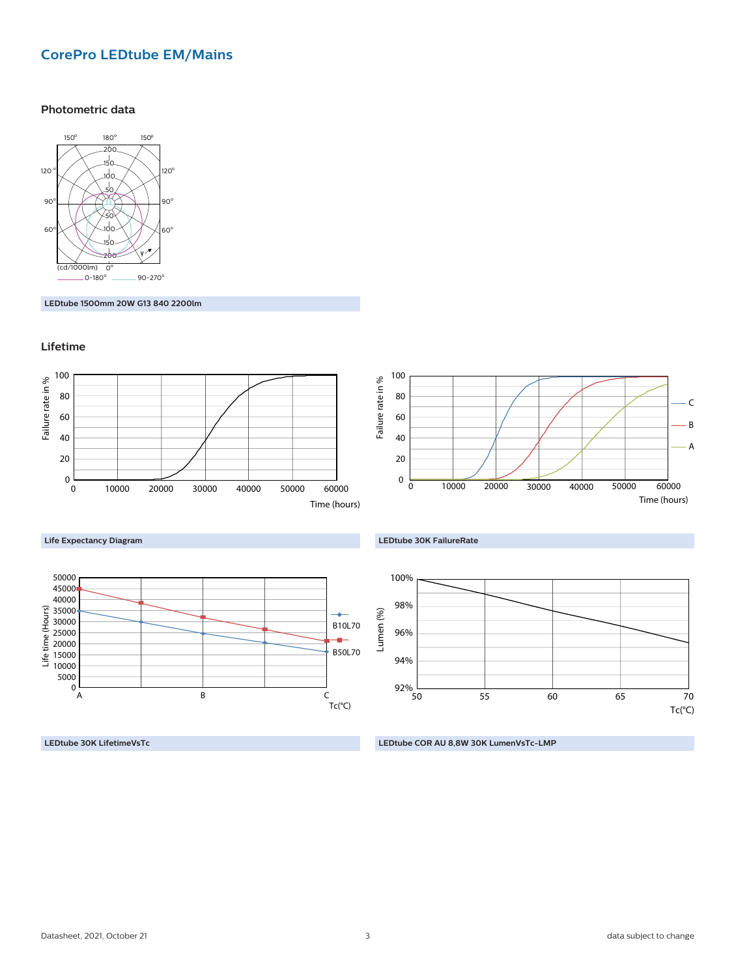### **CorePro LEDtube EM/Mains**

### **Photometric data**



**LEDtube 1500mm 20W G13 840 2200lm**

### **Lifetime**



**LEDtube 30K LifetimeVsTc**

**LEDtube COR AU 8,8W 30K LumenVsTc-LMP**